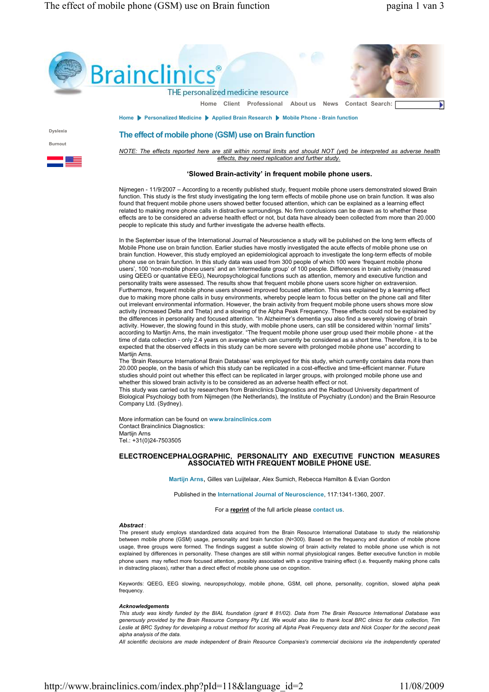$\mathsf{I}$ 



# 'Slowed Brain-activity' in frequent mobile phone users.

Nijmegen - 11/9/2007 – According to a recently published study, frequent mobile phone users demonstrated slowed Brain function. This study is the first study investigating the long term effects of mobile phone use on brain function. It was also found that frequent mobile phone users showed better focused attention, which can be explained as a learning effect related to making more phone calls in distractive surroundings. No firm conclusions can be drawn as to whether these effects are to be considered an adverse health effect or not, but data have already been collected from more than 20.000 people to replicate this study and further investigate the adverse health effects.

In the September issue of the International Journal of Neuroscience a study will be published on the long term effects of Mobile Phone use on brain function. Earlier studies have mostly investigated the acute effects of mobile phone use on brain function. However, this study employed an epidemiological approach to investigate the long-term effects of mobile phone use on brain function. In this study data was used from 300 people of which 100 were 'frequent mobile phone users', 100 'non-mobile phone users' and an 'intermediate group' of 100 people. Differences in brain activity (measured using QEEG or quantative EEG), Neuropsychological functions such as attention, memory and executive function and personality traits were assessed. The results show that frequent mobile phone users score higher on extraversion. Furthermore, frequent mobile phone users showed improved focused attention. This was explained by a learning effect due to making more phone calls in busy environments, whereby people learn to focus better on the phone call and filter out irrelevant environmental information. However, the brain activity from frequent mobile phone users shows more slow activity (increased Delta and Theta) and a slowing of the Alpha Peak Frequency. These effects could not be explained by the differences in personality and focused attention. "In Alzheimer's dementia you also find a severely slowing of brain activity. However, the slowing found in this study, with mobile phone users, can still be considered within 'normal' limits" according to Martijn Arns, the main investigator. "The frequent mobile phone user group used their mobile phone - at the time of data collection - only 2.4 years on average which can currently be considered as a short time. Therefore, it is to be expected that the observed effects in this study can be more severe with prolonged mobile phone use" according to Martijn Arns.

The 'Brain Resource International Brain Database' was employed for this study, which currently contains data more than 20.000 people, on the basis of which this study can be replicated in a cost-effective and time-efficient manner. Future studies should point out whether this effect can be replicated in larger groups, with prolonged mobile phone use and whether this slowed brain activity is to be considered as an adverse health effect or not.

This study was carried out by researchers from Brainclinics Diagnostics and the Radboud University department of Biological Psychology both from Nijmegen (the Netherlands), the Institute of Psychiatry (London) and the Brain Resource Company Ltd. (Sydney).

More information can be found on www.brainclinics.com Contact Brainclinics Diagnostics: Martijn Arns Tel.: +31(0)24-7503505

## ELECTROENCEPHALOGRAPHIC, PERSONALITY AND EXECUTIVE FUNCTION MEASURES ASSOCIATED WITH FREQUENT MOBILE PHONE USE.

Martijn Arns, Gilles van Luijtelaar, Alex Sumich, Rebecca Hamilton & Evian Gordon

Published in the International Journal of Neuroscience, 117:1341-1360, 2007.

For a reprint of the full article please contact us.

## Abstract :

The present study employs standardized data acquired from the Brain Resource International Database to study the relationship between mobile phone (GSM) usage, personality and brain function (N=300). Based on the frequency and duration of mobile phone usage, three groups were formed. The findings suggest a subtle slowing of brain activity related to mobile phone use which is not explained by differences in personality. These changes are still within normal physiological ranges. Better executive function in mobile phone users may reflect more focused attention, possibly associated with a cognitive training effect (i.e. frequently making phone calls in distracting places), rather than a direct effect of mobile phone use on cognition.

Keywords: QEEG, EEG slowing, neuropsychology, mobile phone, GSM, cell phone, personality, cognition, slowed alpha peak frequency.

## Acknowledgements

This study was kindly funded by the BIAL foundation (grant # 81/02). Data from The Brain Resource International Database was generously provided by the Brain Resource Company Pty Ltd. We would also like to thank local BRC clinics for data collection, Tim Leslie at BRC Sydney for developing a robust method for scoring all Alpha Peak Frequency data and Nick Cooper for the second peak alpha analysis of the data.

All scientific decisions are made independent of Brain Resource Companies's commercial decisions via the independently operated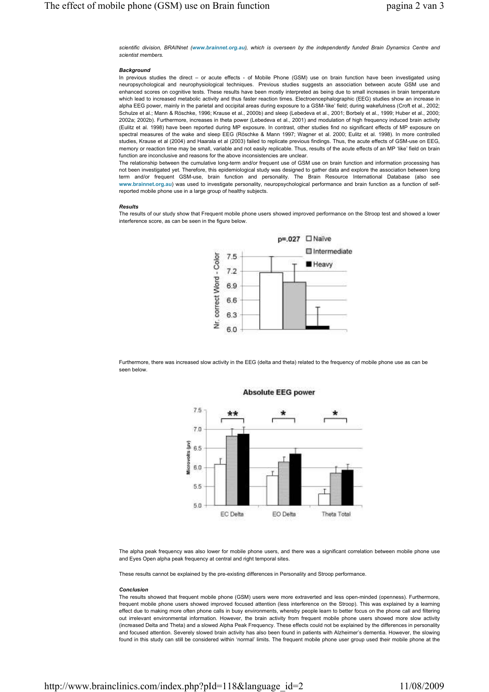scientific division, BRAINnet (www.brainnet.org.au), which is overseen by the independently funded Brain Dynamics Centre and scientist members.

#### **Background**

In previous studies the direct – or acute effects - of Mobile Phone (GSM) use on brain function have been investigated using neuropsychological and neurophysiological techniques. Previous studies suggests an association between acute GSM use and enhanced scores on cognitive tests. These results have been mostly interpreted as being due to small increases in brain temperature which lead to increased metabolic activity and thus faster reaction times. Electroencephalographic (EEG) studies show an increase in alpha EEG power, mainly in the parietal and occipital areas during exposure to a GSM-'like' field; during wakefulness (Croft et al., 2002; Schulze et al.; Mann & Röschke, 1996; Krause et al., 2000b) and sleep (Lebedeva et al., 2001; Borbely et al., 1999; Huber et al., 2000; 2002a; 2002b). Furthermore, increases in theta power (Lebedeva et al., 2001) and modulation of high frequency induced brain activity (Eulitz et al. 1998) have been reported during MP exposure. In contrast, other studies find no significant effects of MP exposure on spectral measures of the wake and sleep EEG (Röschke & Mann 1997; Wagner et al. 2000; Eulitz et al. 1998). In more controlled studies, Krause et al (2004) and Haarala et al (2003) failed to replicate previous findings. Thus, the acute effects of GSM-use on EEG, memory or reaction time may be small, variable and not easily replicable. Thus, results of the acute effects of an MP 'like' field on brain function are inconclusive and reasons for the above inconsistencies are unclear.

The relationship between the cumulative long-term and/or frequent use of GSM use on brain function and information processing has not been investigated yet. Therefore, this epidemiological study was designed to gather data and explore the association between long term and/or frequent GSM-use, brain function and personality. The Brain Resource International Database (also see www.brainnet.org.au) was used to investigate personality, neuropsychological performance and brain function as a function of selfreported mobile phone use in a large group of healthy subjects.

### Results

The results of our study show that Frequent mobile phone users showed improved performance on the Stroop test and showed a lower interference score, as can be seen in the figure below.



Furthermore, there was increased slow activity in the EEG (delta and theta) related to the frequency of mobile phone use as can be seen below.



# **Absolute EEG power**

The alpha peak frequency was also lower for mobile phone users, and there was a significant correlation between mobile phone use and Eyes Open alpha peak frequency at central and right temporal sites.

These results cannot be explained by the pre-existing differences in Personality and Stroop performance.

#### Conclusion

The results showed that frequent mobile phone (GSM) users were more extraverted and less open-minded (openness). Furthermore, frequent mobile phone users showed improved focused attention (less interference on the Stroop). This was explained by a learning effect due to making more often phone calls in busy environments, whereby people learn to better focus on the phone call and filtering out irrelevant environmental information. However, the brain activity from frequent mobile phone users showed more slow activity (increased Delta and Theta) and a slowed Alpha Peak Frequency. These effects could not be explained by the differences in personality and focused attention. Severely slowed brain activity has also been found in patients with Alzheimer's dementia. However, the slowing found in this study can still be considered within 'normal' limits. The frequent mobile phone user group used their mobile phone at the